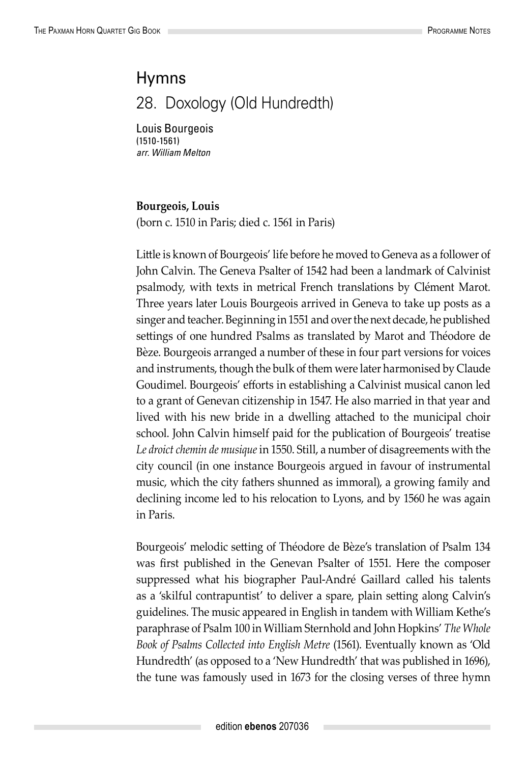## Hymns

28. Doxology (Old Hundredth)

Louis Bourgeois (1510-1561) *arr. William Melton*

## **Bourgeois, Louis**

(born c. 1510 in Paris; died c. 1561 in Paris)

Little is known of Bourgeois' life before he moved to Geneva as a follower of John Calvin. The Geneva Psalter of 1542 had been a landmark of Calvinist psalmody, with texts in metrical French translations by Clément Marot. Three years later Louis Bourgeois arrived in Geneva to take up posts as a singer and teacher. Beginning in 1551 and over the next decade, he published settings of one hundred Psalms as translated by Marot and Théodore de Bèze. Bourgeois arranged a number of these in four part versions for voices and instruments, though the bulk of them were later harmonised by Claude Goudimel. Bourgeois' efforts in establishing a Calvinist musical canon led to a grant of Genevan citizenship in 1547. He also married in that year and lived with his new bride in a dwelling attached to the municipal choir school. John Calvin himself paid for the publication of Bourgeois' treatise *Le droict chemin de musique* in 1550. Still, a number of disagreements with the city council (in one instance Bourgeois argued in favour of instrumental music, which the city fathers shunned as immoral), a growing family and declining income led to his relocation to Lyons, and by 1560 he was again in Paris.

Bourgeois' melodic setting of Théodore de Bèze's translation of Psalm 134 was first published in the Genevan Psalter of 1551. Here the composer suppressed what his biographer Paul-André Gaillard called his talents as a 'skilful contrapuntist' to deliver a spare, plain setting along Calvin's guidelines. The music appeared in English in tandem with William Kethe's paraphrase of Psalm 100 in William Sternhold and John Hopkins' *The Whole Book of Psalms Collected into English Metre* (1561). Eventually known as 'Old Hundredth' (as opposed to a 'New Hundredth' that was published in 1696), the tune was famously used in 1673 for the closing verses of three hymn